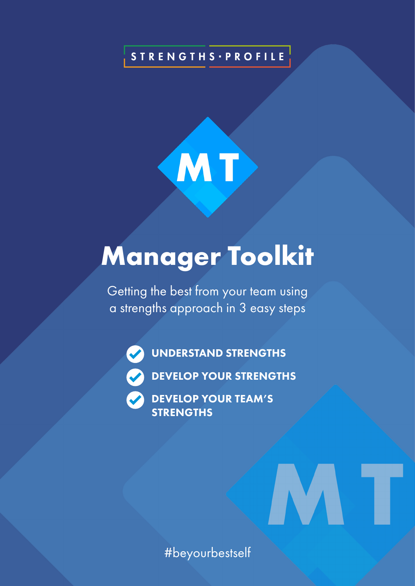# **STRENGTHS · PROFILE**



# **Manager Toolkit**

Getting the best from your team using a strengths approach in 3 easy steps

UNDERSTAND STRENGTHS



DEVELOP YOUR TEAM'S **STRENGTHS** 

#beyourbestself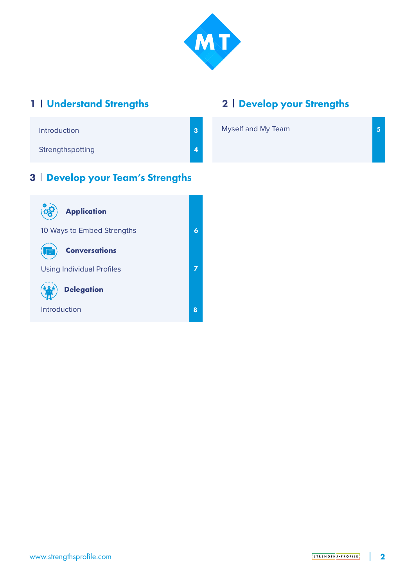

## 1 | Understand Strengths

# 2 | Develop your Strengths

| Introduction     | 3 <sup>2</sup> | Myself and My Team |  |
|------------------|----------------|--------------------|--|
| Strengthspotting | $\vert$ 4      |                    |  |

### 3 Develop your Team's Strengths

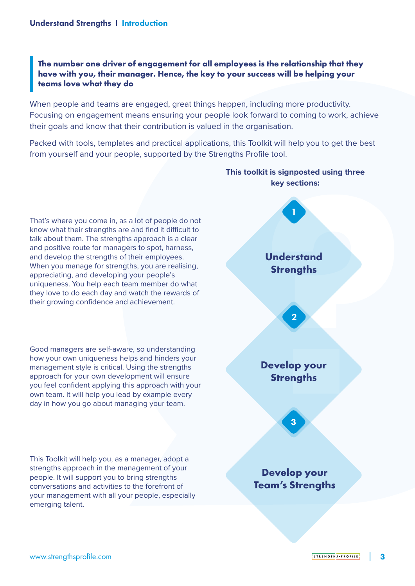#### **The number one driver of engagement for all employees is the relationship that they have with you, their manager. Hence, the key to your success will be helping your teams love what they do**

When people and teams are engaged, great things happen, including more productivity. Focusing on engagement means ensuring your people look forward to coming to work, achieve their goals and know that their contribution is valued in the organisation.

Packed with tools, templates and practical applications, this Toolkit will help you to get the best from yourself and your people, supported by the Strengths Profile tool.



# **This toolkit is signposted using three**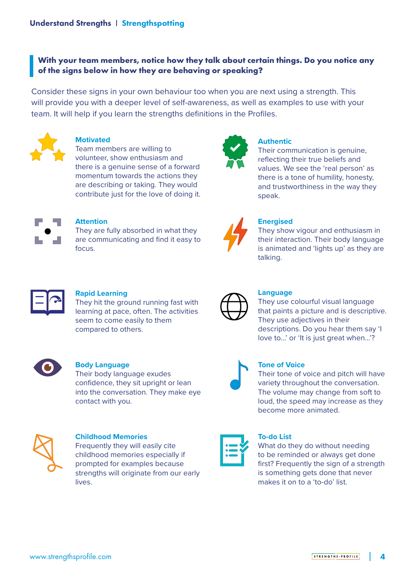#### **With your team members, notice how they talk about certain things. Do you notice any of the signs below in how they are behaving or speaking?**

Consider these signs in your own behaviour too when you are next using a strength. This will provide you with a deeper level of self-awareness, as well as examples to use with your team. It will help if you learn the strengths definitions in the Profiles.



#### **Motivated**

Team members are willing to volunteer, show enthusiasm and there is a genuine sense of a forward momentum towards the actions they are describing or taking. They would contribute just for the love of doing it.



#### **Authentic**

Their communication is genuine, reflecting their true beliefs and values. We see the 'real person' as there is a tone of humility, honesty, and trustworthiness in the way they speak.



#### **Attention**

They are fully absorbed in what they are communicating and find it easy to focus.



#### **Energised**

They show vigour and enthusiasm in their interaction. Their body language is animated and 'lights up' as they are talking.



#### **Rapid Learning**

They hit the ground running fast with learning at pace, often. The activities seem to come easily to them compared to others.



#### **Body Language**

Their body language exudes confidence, they sit upright or lean into the conversation. They make eye contact with you.



#### **Childhood Memories**

Frequently they will easily cite childhood memories especially if prompted for examples because strengths will originate from our early lives.

#### **Language**

They use colourful visual language that paints a picture and is descriptive. They use adjectives in their descriptions. Do you hear them say 'I love to...' or 'It is just great when...'?



#### **Tone of Voice**

Their tone of voice and pitch will have variety throughout the conversation. The volume may change from soft to loud, the speed may increase as they become more animated.

#### **To-do List**

What do they do without needing to be reminded or always get done first? Frequently the sign of a strength is something gets done that never makes it on to a 'to-do' list.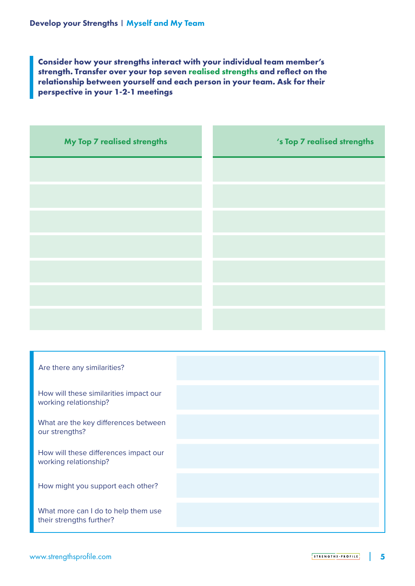**Consider how your strengths interact with your individual team member's strength. Transfer over your top seven realised strengths and reflect on the relationship between yourself and each person in your team. Ask for their perspective in your 1-2-1 meetings**

| My Top 7 realised strengths | 's Top 7 realised strengths |
|-----------------------------|-----------------------------|
|                             |                             |
|                             |                             |
|                             |                             |
|                             |                             |
|                             |                             |
|                             |                             |
|                             |                             |

| Are there any similarities?                                     |  |
|-----------------------------------------------------------------|--|
| How will these similarities impact our<br>working relationship? |  |
| What are the key differences between<br>our strengths?          |  |
| How will these differences impact our<br>working relationship?  |  |
| How might you support each other?                               |  |
| What more can I do to help them use<br>their strengths further? |  |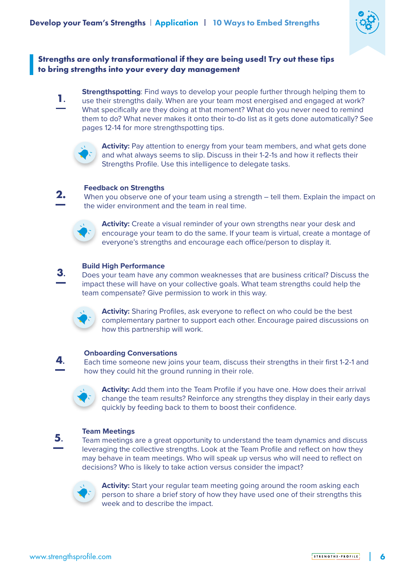

#### **Strengths are only transformational if they are being used! Try out these tips to bring strengths into your every day management**

**Strengthspotting**: Find ways to develop your people further through helping them to use their strengths daily. When are your team most energised and engaged at work? What specifically are they doing at that moment? What do you never need to remind them to do? What never makes it onto their to-do list as it gets done automatically? See pages 12-14 for more strengthspotting tips. **1.**



**Activity:** Pay attention to energy from your team members, and what gets done and what always seems to slip. Discuss in their 1-2-1s and how it reflects their Strengths Profile. Use this intelligence to delegate tasks.

#### **Feedback on Strengths**

When you observe one of your team using a strength – tell them. Explain the impact on the wider environment and the team in real time. **2.**



**Activity:** Create a visual reminder of your own strengths near your desk and encourage your team to do the same. If your team is virtual, create a montage of everyone's strengths and encourage each office/person to display it.

#### **Build High Performance**

Does your team have any common weaknesses that are business critical? Discuss the impact these will have on your collective goals. What team strengths could help the team compensate? Give permission to work in this way. **3.**



**Activity:** Sharing Profiles, ask everyone to reflect on who could be the best complementary partner to support each other. Encourage paired discussions on how this partnership will work.

#### **Onboarding Conversations**

Each time someone new joins your team, discuss their strengths in their first 1-2-1 and how they could hit the ground running in their role.



**4.**

**5.**

**Activity:** Add them into the Team Profile if you have one. How does their arrival change the team results? Reinforce any strengths they display in their early days quickly by feeding back to them to boost their confidence.

#### **Team Meetings**

Team meetings are a great opportunity to understand the team dynamics and discuss leveraging the collective strengths. Look at the Team Profile and reflect on how they may behave in team meetings. Who will speak up versus who will need to reflect on decisions? Who is likely to take action versus consider the impact?



**Activity:** Start your regular team meeting going around the room asking each person to share a brief story of how they have used one of their strengths this week and to describe the impact.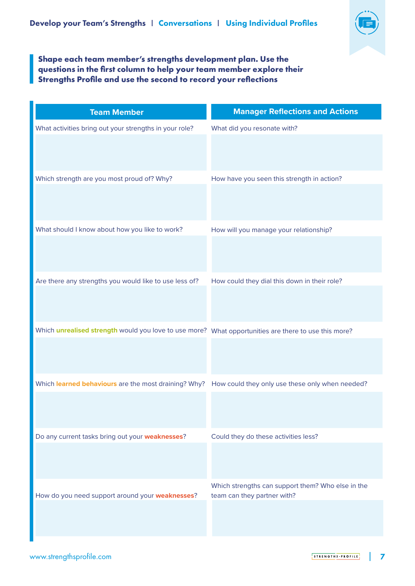

#### **Shape each team member's strengths development plan. Use the questions in the first column to help your team member explore their Strengths Profile and use the second to record your reflections**

| <b>Team Member</b>                                                                                   | <b>Manager Reflections and Actions</b>                                           |
|------------------------------------------------------------------------------------------------------|----------------------------------------------------------------------------------|
| What activities bring out your strengths in your role?                                               | What did you resonate with?                                                      |
|                                                                                                      |                                                                                  |
| Which strength are you most proud of? Why?                                                           | How have you seen this strength in action?                                       |
|                                                                                                      |                                                                                  |
| What should I know about how you like to work?                                                       | How will you manage your relationship?                                           |
|                                                                                                      |                                                                                  |
| Are there any strengths you would like to use less of?                                               | How could they dial this down in their role?                                     |
|                                                                                                      |                                                                                  |
| Which unrealised strength would you love to use more? What opportunities are there to use this more? |                                                                                  |
|                                                                                                      |                                                                                  |
| Which learned behaviours are the most draining? Why?                                                 | How could they only use these only when needed?                                  |
|                                                                                                      |                                                                                  |
| Do any current tasks bring out your weaknesses?                                                      | Could they do these activities less?                                             |
|                                                                                                      |                                                                                  |
| How do you need support around your weaknesses?                                                      | Which strengths can support them? Who else in the<br>team can they partner with? |
|                                                                                                      |                                                                                  |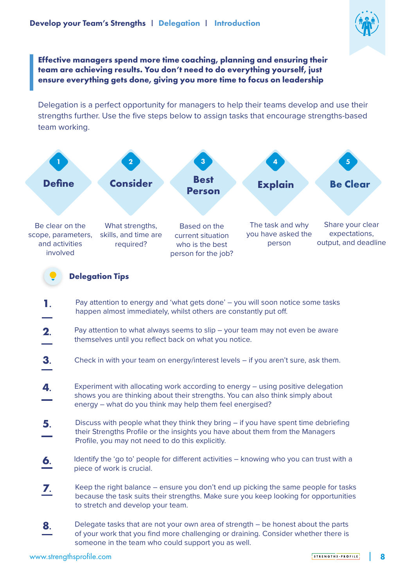

**Effective managers spend more time coaching, planning and ensuring their team are achieving results. You don't need to do everything yourself, just ensure everything gets done, giving you more time to focus on leadership**

Delegation is a perfect opportunity for managers to help their teams develop and use their strengths further. Use the five steps below to assign tasks that encourage strengths-based team working.